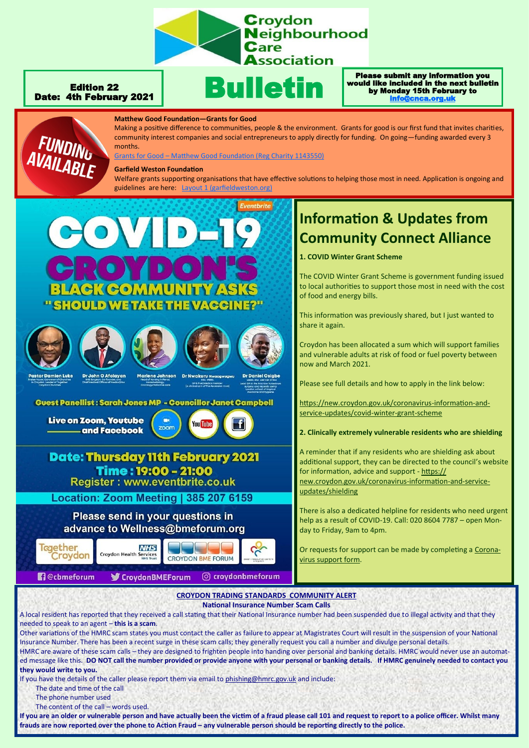

Bulletin

#### Edition 22 Date: 4th February 2021

#### Please submit any information you would like included in the next bulletin by Monday 15th February to [info@cnca.org.uk](mailto:info@cnca.org.uk)



**Matthew Good Foundation—Grants for Good** 

Making a positive difference to communities, people & the environment. Grants for good is our first fund that invites charities, community interest companies and social entrepreneurs to apply directly for funding. On going—funding awarded every 3 months.

Grants for Good – [Matthew Good Foundation \(Reg Charity 1143550\)](http://www.matthewgoodfoundation.org/grantsforgood/)

#### **Garfield Weston Foundation**

Welfare grants supporting organisations that have effective solutions to helping those most in need. Application is ongoing and guidelines are here: Layout 1 (garf



## **Time: 19:00 - 21:00 Register: www.eventbrite.co.uk**

Location: Zoom Meeting | 385 207 6159

Please send in your questions in advance to Wellness@bmeforum.org



# **Information & Updates from Community Connect Alliance**

**1. COVID Winter Grant Scheme**

The COVID Winter Grant Scheme is government funding issued to local authorities to support those most in need with the cost of food and energy bills.

This information was previously shared, but I just wanted to share it again.

Croydon has been allocated a sum which will support families and vulnerable adults at risk of food or fuel poverty between now and March 2021.

Please see full details and how to apply in the link below:

[https://new.croydon.gov.uk/coronavirus](https://new.croydon.gov.uk/coronavirus-information-and-service-updates/covid-winter-grant-scheme)-information-andservice-[updates/covid](https://new.croydon.gov.uk/coronavirus-information-and-service-updates/covid-winter-grant-scheme)-winter-grant-scheme

**2. Clinically extremely vulnerable residents who are shielding**

A reminder that if any residents who are shielding ask about additional support, they can be directed to the council's website for information, advice and support - [https://](https://new.croydon.gov.uk/coronavirus-information-and-service-updates/shielding) [new.croydon.gov.uk/coronavirus](https://new.croydon.gov.uk/coronavirus-information-and-service-updates/shielding)-information-and-service[updates/shielding](https://new.croydon.gov.uk/coronavirus-information-and-service-updates/shielding)

There is also a dedicated helpline for residents who need urgent help as a result of COVID-19. Call: 020 8604 7787 – open Monday to Friday, 9am to 4pm.

Or requests for support can be made by completing a [Corona](https://www.croydon.gov.uk/public/coronavirus-covid-19-message-us)[virus support form.](https://www.croydon.gov.uk/public/coronavirus-covid-19-message-us)

#### **CROYDON TRADING STANDARDS COMMUNITY ALERT National Insurance Number Scam Calls**

A local resident has reported that they received a call stating that their National Insurance number had been suspended due to illegal activity and that they needed to speak to an agent – **this is a scam**. Other variations of the HMRC scam states you must contact the caller as failure to appear at Magistrates Court will result in the suspension of your National Insurance Number. There has been a recent surge in these scam calls; they generally request you call a number and divulge personal details. HMRC are aware of these scam calls – they are designed to frighten people into handing over personal and banking details. HMRC would never use an automated message like this. **DO NOT call the number provided or provide anyone with your personal or banking details. If HMRC genuinely needed to contact you they would write to you.** 

If you have the details of the caller please report them via email to [phishing@hmrc.gov.uk](mailto:phishing@hmrc.gov.uk) and include:

The date and time of the call

The phone number used

The content of the call – words used.

**If you are an older or vulnerable person and have actually been the victim of a fraud please call 101 and request to report to a police officer. Whilst many frauds are now reported over the phone to Action Fraud – any vulnerable person should be reporting directly to the police.**